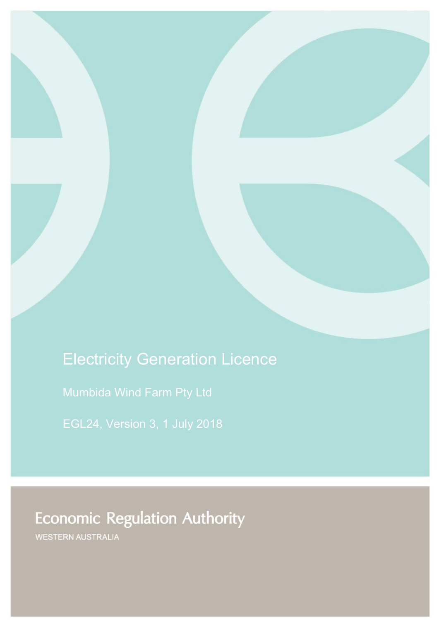# Electricity Generation Licence

Mumbida Wind Farm Pty Ltd

# **Economic Regulation Authority**

WESTERN AUSTRALIA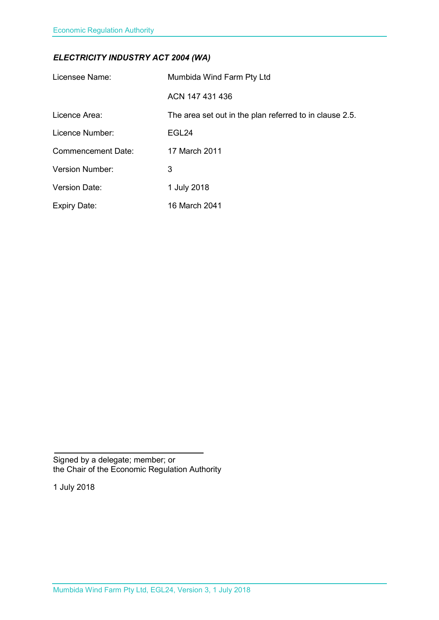### *ELECTRICITY INDUSTRY ACT 2004 (WA)*

| Licensee Name:            | Mumbida Wind Farm Pty Ltd                               |
|---------------------------|---------------------------------------------------------|
|                           | ACN 147 431 436                                         |
| Licence Area:             | The area set out in the plan referred to in clause 2.5. |
| Licence Number:           | EGL24                                                   |
| <b>Commencement Date:</b> | 17 March 2011                                           |
| <b>Version Number:</b>    | 3                                                       |
| <b>Version Date:</b>      | 1 July 2018                                             |
| <b>Expiry Date:</b>       | 16 March 2041                                           |

Signed by a delegate; member; or the Chair of the Economic Regulation Authority

1 July 2018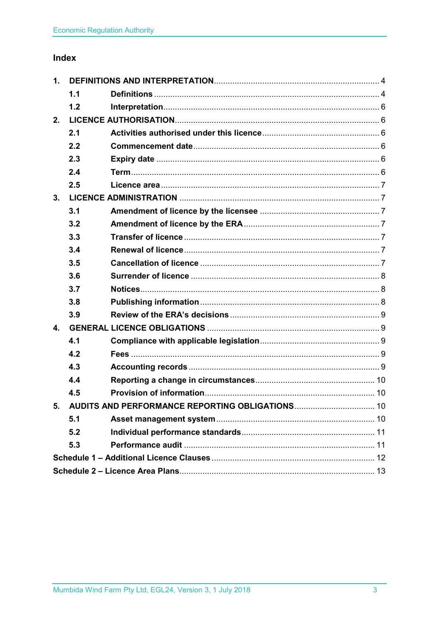### Index

| 1.                                                 |     |  |  |
|----------------------------------------------------|-----|--|--|
|                                                    | 1.1 |  |  |
|                                                    | 1.2 |  |  |
| 2.                                                 |     |  |  |
|                                                    | 2.1 |  |  |
|                                                    | 2.2 |  |  |
|                                                    | 2.3 |  |  |
|                                                    | 2.4 |  |  |
|                                                    | 2.5 |  |  |
| 3.                                                 |     |  |  |
|                                                    | 3.1 |  |  |
|                                                    | 3.2 |  |  |
|                                                    | 3.3 |  |  |
|                                                    | 3.4 |  |  |
|                                                    | 3.5 |  |  |
|                                                    | 3.6 |  |  |
|                                                    | 3.7 |  |  |
|                                                    | 3.8 |  |  |
|                                                    | 3.9 |  |  |
| $\mathbf{4}$ .                                     |     |  |  |
|                                                    | 4.1 |  |  |
|                                                    | 4.2 |  |  |
|                                                    | 4.3 |  |  |
|                                                    | 4.4 |  |  |
|                                                    | 4.5 |  |  |
| 5. AUDITS AND PERFORMANCE REPORTING OBLIGATIONS 10 |     |  |  |
|                                                    | 5.1 |  |  |
|                                                    | 5.2 |  |  |
|                                                    | 5.3 |  |  |
|                                                    |     |  |  |
|                                                    |     |  |  |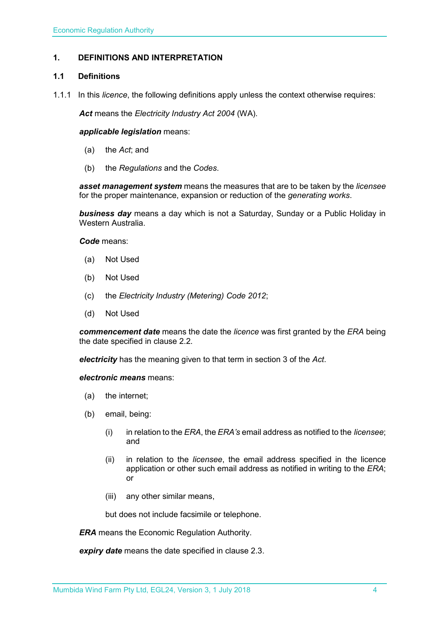### <span id="page-3-0"></span>**1. DEFINITIONS AND INTERPRETATION**

#### <span id="page-3-1"></span>**1.1 Definitions**

1.1.1 In this *licence*, the following definitions apply unless the context otherwise requires:

*Act* means the *Electricity Industry Act 2004* (WA).

#### *applicable legislation* means:

- (a) the *Act*; and
- (b) the *Regulations* and the *Codes*.

*asset management system* means the measures that are to be taken by the *licensee* for the proper maintenance, expansion or reduction of the *generating works*.

*business day* means a day which is not a Saturday, Sunday or a Public Holiday in Western Australia.

*Code* means:

- (a) Not Used
- (b) Not Used
- (c) the *Electricity Industry (Metering) Code 2012*;
- (d) Not Used

*commencement date* means the date the *licence* was first granted by the *ERA* being the date specified in clause 2.2.

*electricity* has the meaning given to that term in section 3 of the *Act*.

*electronic means* means:

- (a) the internet;
- (b) email, being:
	- (i) in relation to the *ERA*, the *ERA's* email address as notified to the *licensee*; and
	- (ii) in relation to the *licensee*, the email address specified in the licence application or other such email address as notified in writing to the *ERA*; or
	- (iii) any other similar means,

but does not include facsimile or telephone.

*ERA* means the Economic Regulation Authority.

*expiry date* means the date specified in clause 2.3.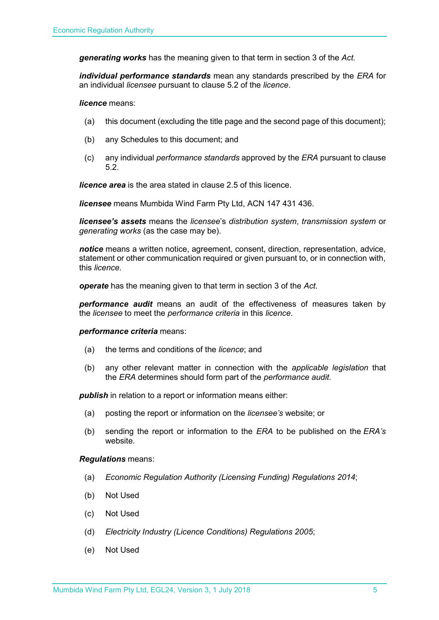*generating works* has the meaning given to that term in section 3 of the *Act.*

*individual performance standards* mean any standards prescribed by the *ERA* for an individual *licensee* pursuant to clause 5.2 of the *licence*.

*licence* means:

- (a) this document (excluding the title page and the second page of this document);
- (b) any Schedules to this document; and
- (c) any individual *performance standards* approved by the *ERA* pursuant to clause 5.2.

*licence area* is the area stated in clause 2.5 of this licence.

*licensee* means Mumbida Wind Farm Pty Ltd, ACN 147 431 436.

*licensee's assets* means the *licensee*'s *distribution system*, *transmission system* or *generating works* (as the case may be).

*notice* means a written notice, agreement, consent, direction, representation, advice, statement or other communication required or given pursuant to, or in connection with, this *licence*.

*operate* has the meaning given to that term in section 3 of the *Act*.

*performance audit* means an audit of the effectiveness of measures taken by the *licensee* to meet the *performance criteria* in this *licence*.

#### *performance criteria* means:

- (a) the terms and conditions of the *licence*; and
- (b) any other relevant matter in connection with the *applicable legislation* that the *ERA* determines should form part of the *performance audit*.

**publish** in relation to a report or information means either:

- (a) posting the report or information on the *licensee's* website; or
- (b) sending the report or information to the *ERA* to be published on the *ERA's* website.

#### *Regulations* means:

- (a) *Economic Regulation Authority (Licensing Funding) Regulations 2014*;
- (b) Not Used
- (c) Not Used
- (d) *Electricity Industry (Licence Conditions) Regulations 2005*;
- (e) Not Used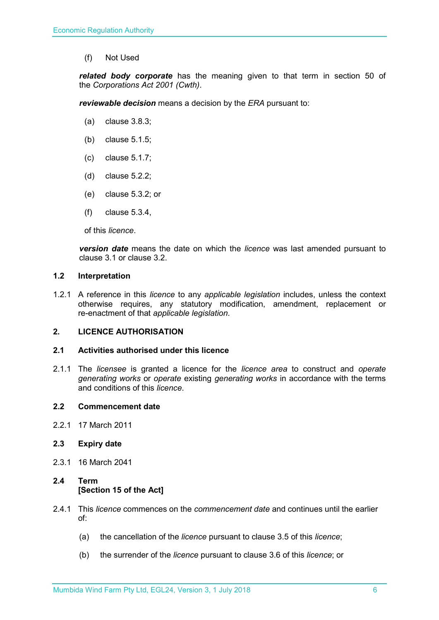(f) Not Used

*related body corporate* has the meaning given to that term in section 50 of the *Corporations Act 2001 (Cwth)*.

*reviewable decision* means a decision by the *ERA* pursuant to:

- (a) clause 3.8.3;
- (b) clause 5.1.5;
- (c) clause 5.1.7;
- (d) clause 5.2.2;
- (e) clause 5.3.2; or
- (f) clause 5.3.4,

of this *licence*.

*version date* means the date on which the *licence* was last amended pursuant to clause 3.1 or clause 3.2.

#### <span id="page-5-0"></span>**1.2 Interpretation**

1.2.1 A reference in this *licence* to any *applicable legislation* includes, unless the context otherwise requires, any statutory modification, amendment, replacement or re-enactment of that *applicable legislation*.

#### <span id="page-5-1"></span>**2. LICENCE AUTHORISATION**

#### <span id="page-5-2"></span>**2.1 Activities authorised under this licence**

2.1.1 The *licensee* is granted a licence for the *licence area* to construct and *operate generating works* or *operate* existing *generating works* in accordance with the terms and conditions of this *licence*.

#### <span id="page-5-3"></span>**2.2 Commencement date**

2.2.1 17 March 2011

#### <span id="page-5-4"></span>**2.3 Expiry date**

2.3.1 16 March 2041

### <span id="page-5-5"></span>**2.4 Term [Section 15 of the Act]**

- 2.4.1 This *licence* commences on the *commencement date* and continues until the earlier of:
	- (a) the cancellation of the *licence* pursuant to clause 3.5 of this *licence*;
	- (b) the surrender of the *licence* pursuant to clause 3.6 of this *licence*; or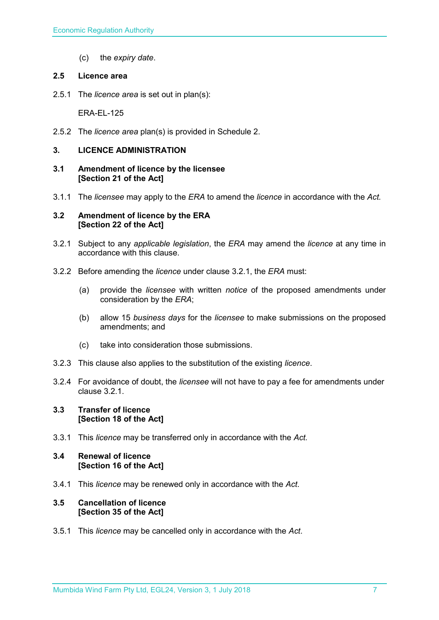(c) the *expiry date*.

#### <span id="page-6-0"></span>**2.5 Licence area**

2.5.1 The *licence area* is set out in plan(s):

ERA-EL-125

2.5.2 The *licence area* plan(s) is provided in Schedule 2.

### <span id="page-6-1"></span>**3. LICENCE ADMINISTRATION**

- <span id="page-6-2"></span>**3.1 Amendment of licence by the licensee [Section 21 of the Act]**
- 3.1.1 The *licensee* may apply to the *ERA* to amend the *licence* in accordance with the *Act.*

#### <span id="page-6-3"></span>**3.2 Amendment of licence by the ERA [Section 22 of the Act]**

- 3.2.1 Subject to any *applicable legislation*, the *ERA* may amend the *licence* at any time in accordance with this clause.
- 3.2.2 Before amending the *licence* under clause 3.2.1, the *ERA* must:
	- (a) provide the *licensee* with written *notice* of the proposed amendments under consideration by the *ERA*;
	- (b) allow 15 *business days* for the *licensee* to make submissions on the proposed amendments; and
	- (c) take into consideration those submissions.
- 3.2.3 This clause also applies to the substitution of the existing *licence*.
- 3.2.4 For avoidance of doubt, the *licensee* will not have to pay a fee for amendments under clause 3.2.1.

#### <span id="page-6-4"></span>**3.3 Transfer of licence [Section 18 of the Act]**

3.3.1 This *licence* may be transferred only in accordance with the *Act.*

#### <span id="page-6-5"></span>**3.4 Renewal of licence [Section 16 of the Act]**

3.4.1 This *licence* may be renewed only in accordance with the *Act*.

#### <span id="page-6-6"></span>**3.5 Cancellation of licence [Section 35 of the Act]**

3.5.1 This *licence* may be cancelled only in accordance with the *Act*.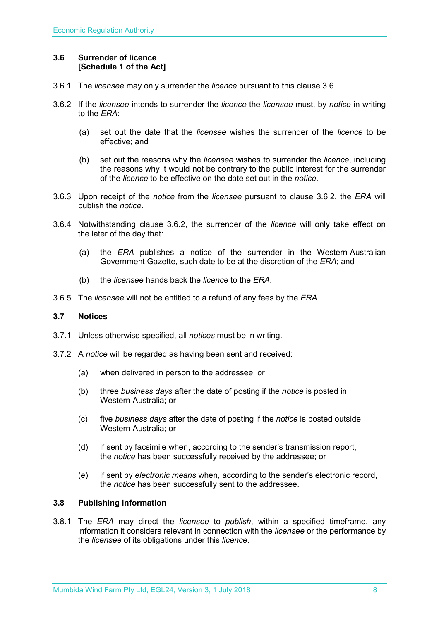#### <span id="page-7-0"></span>**3.6 Surrender of licence [Schedule 1 of the Act]**

- 3.6.1 The *licensee* may only surrender the *licence* pursuant to this clause 3.6.
- 3.6.2 If the *licensee* intends to surrender the *licence* the *licensee* must, by *notice* in writing to the *ERA*:
	- (a) set out the date that the *licensee* wishes the surrender of the *licence* to be effective; and
	- (b) set out the reasons why the *licensee* wishes to surrender the *licence*, including the reasons why it would not be contrary to the public interest for the surrender of the *licence* to be effective on the date set out in the *notice*.
- 3.6.3 Upon receipt of the *notice* from the *licensee* pursuant to clause 3.6.2, the *ERA* will publish the *notice*.
- 3.6.4 Notwithstanding clause 3.6.2, the surrender of the *licence* will only take effect on the later of the day that:
	- (a) the *ERA* publishes a notice of the surrender in the Western Australian Government Gazette, such date to be at the discretion of the *ERA*; and
	- (b) the *licensee* hands back the *licence* to the *ERA*.
- 3.6.5 The *licensee* will not be entitled to a refund of any fees by the *ERA*.

#### <span id="page-7-1"></span>**3.7 Notices**

- 3.7.1 Unless otherwise specified, all *notices* must be in writing.
- 3.7.2 A *notice* will be regarded as having been sent and received:
	- (a) when delivered in person to the addressee; or
	- (b) three *business days* after the date of posting if the *notice* is posted in Western Australia; or
	- (c) five *business days* after the date of posting if the *notice* is posted outside Western Australia; or
	- (d) if sent by facsimile when, according to the sender's transmission report, the *notice* has been successfully received by the addressee; or
	- (e) if sent by *electronic means* when, according to the sender's electronic record, the *notice* has been successfully sent to the addressee.

#### <span id="page-7-2"></span>**3.8 Publishing information**

3.8.1 The *ERA* may direct the *licensee* to *publish*, within a specified timeframe, any information it considers relevant in connection with the *licensee* or the performance by the *licensee* of its obligations under this *licence*.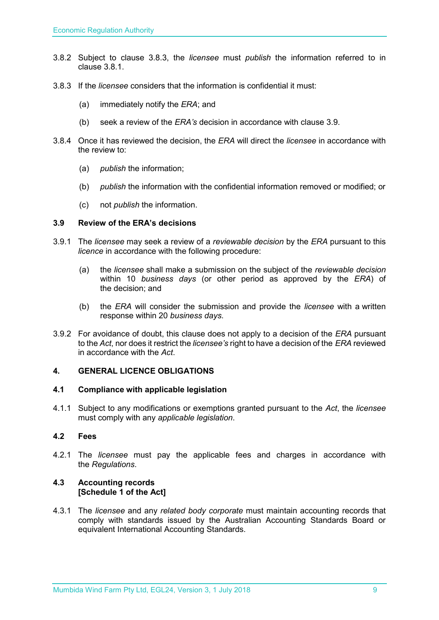- 3.8.2 Subject to clause 3.8.3, the *licensee* must *publish* the information referred to in clause 3.8.1.
- 3.8.3 If the *licensee* considers that the information is confidential it must:
	- (a) immediately notify the *ERA*; and
	- (b) seek a review of the *ERA's* decision in accordance with clause 3.9.
- 3.8.4 Once it has reviewed the decision, the *ERA* will direct the *licensee* in accordance with the review to:
	- (a) *publish* the information;
	- (b) *publish* the information with the confidential information removed or modified; or
	- (c) not *publish* the information.

#### <span id="page-8-0"></span>**3.9 Review of the ERA's decisions**

- 3.9.1 The *licensee* may seek a review of a *reviewable decision* by the *ERA* pursuant to this *licence* in accordance with the following procedure:
	- (a) the *licensee* shall make a submission on the subject of the *reviewable decision* within 10 *business days* (or other period as approved by the *ERA*) of the decision; and
	- (b) the *ERA* will consider the submission and provide the *licensee* with a written response within 20 *business days*.
- 3.9.2 For avoidance of doubt, this clause does not apply to a decision of the *ERA* pursuant to the *Act*, nor does it restrict the *licensee's* right to have a decision of the *ERA* reviewed in accordance with the *Act*.

#### <span id="page-8-1"></span>**4. GENERAL LICENCE OBLIGATIONS**

#### <span id="page-8-2"></span>**4.1 Compliance with applicable legislation**

4.1.1 Subject to any modifications or exemptions granted pursuant to the *Act*, the *licensee* must comply with any *applicable legislation*.

#### <span id="page-8-3"></span>**4.2 Fees**

4.2.1 The *licensee* must pay the applicable fees and charges in accordance with the *Regulations*.

#### <span id="page-8-4"></span>**4.3 Accounting records [Schedule 1 of the Act]**

4.3.1 The *licensee* and any *related body corporate* must maintain accounting records that comply with standards issued by the Australian Accounting Standards Board or equivalent International Accounting Standards.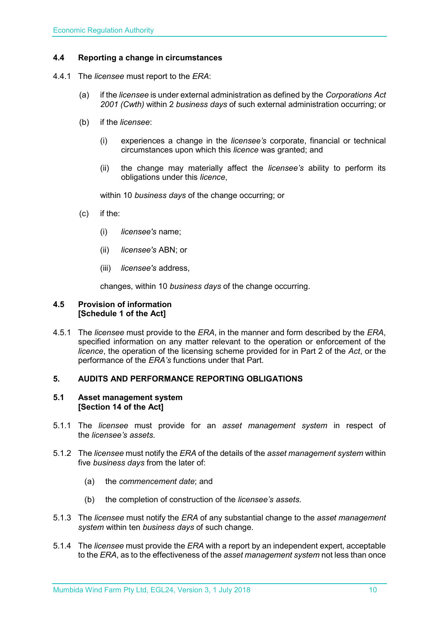#### <span id="page-9-0"></span>**4.4 Reporting a change in circumstances**

- 4.4.1 The *licensee* must report to the *ERA*:
	- (a) if the *licensee* is under external administration as defined by the *Corporations Act 2001 (Cwth)* within 2 *business days* of such external administration occurring; or
	- (b) if the *licensee*:
		- (i) experiences a change in the *licensee's* corporate, financial or technical circumstances upon which this *licence* was granted; and
		- (ii) the change may materially affect the *licensee's* ability to perform its obligations under this *licence*,

within 10 *business days* of the change occurring; or

- (c) if the:
	- (i) *licensee's* name;
	- (ii) *licensee's* ABN; or
	- (iii) *licensee's* address,

changes, within 10 *business days* of the change occurring.

#### <span id="page-9-1"></span>**4.5 Provision of information [Schedule 1 of the Act]**

4.5.1 The *licensee* must provide to the *ERA*, in the manner and form described by the *ERA*, specified information on any matter relevant to the operation or enforcement of the *licence*, the operation of the licensing scheme provided for in Part 2 of the *Act*, or the performance of the *ERA's* functions under that Part.

#### <span id="page-9-2"></span>**5. AUDITS AND PERFORMANCE REPORTING OBLIGATIONS**

#### <span id="page-9-3"></span>**5.1 Asset management system [Section 14 of the Act]**

- 5.1.1 The *licensee* must provide for an *asset management system* in respect of the *licensee's assets*.
- 5.1.2 The *licensee* must notify the *ERA* of the details of the *asset management system* within five *business days* from the later of:
	- (a) the *commencement date*; and
	- (b) the completion of construction of the *licensee's assets*.
- 5.1.3 The *licensee* must notify the *ERA* of any substantial change to the *asset management system* within ten *business days* of such change.
- 5.1.4 The *licensee* must provide the *ERA* with a report by an independent expert, acceptable to the *ERA*, as to the effectiveness of the *asset management system* not less than once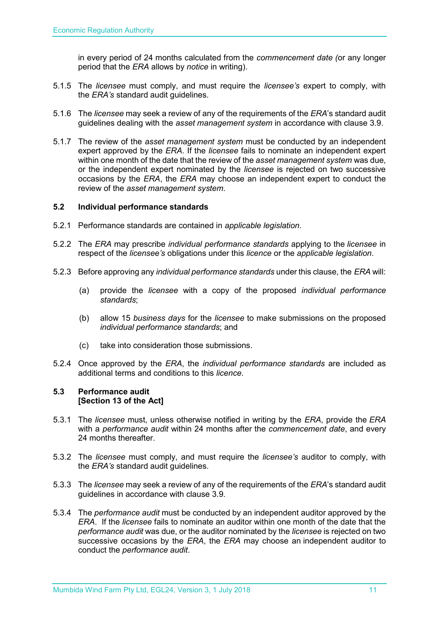in every period of 24 months calculated from the *commencement date (*or any longer period that the *ERA* allows by *notice* in writing).

- 5.1.5 The *licensee* must comply, and must require the *licensee's* expert to comply, with the *ERA's* standard audit guidelines.
- 5.1.6 The *licensee* may seek a review of any of the requirements of the *ERA*'s standard audit guidelines dealing with the *asset management system* in accordance with clause 3.9.
- 5.1.7 The review of the *asset management system* must be conducted by an independent expert approved by the *ERA*. If the *licensee* fails to nominate an independent expert within one month of the date that the review of the *asset management system* was due, or the independent expert nominated by the *licensee* is rejected on two successive occasions by the *ERA*, the *ERA* may choose an independent expert to conduct the review of the *asset management system*.

#### <span id="page-10-0"></span>**5.2 Individual performance standards**

- 5.2.1 Performance standards are contained in *applicable legislation*.
- 5.2.2 The *ERA* may prescribe *individual performance standards* applying to the *licensee* in respect of the *licensee's* obligations under this *licence* or the *applicable legislation*.
- 5.2.3 Before approving any *individual performance standards* under this clause, the *ERA* will:
	- (a) provide the *licensee* with a copy of the proposed *individual performance standards*;
	- (b) allow 15 *business days* for the *licensee* to make submissions on the proposed *individual performance standards*; and
	- (c) take into consideration those submissions.
- 5.2.4 Once approved by the *ERA*, the *individual performance standards* are included as additional terms and conditions to this *licence*.

#### <span id="page-10-1"></span>**5.3 Performance audit [Section 13 of the Act]**

- 5.3.1 The *licensee* must, unless otherwise notified in writing by the *ERA*, provide the *ERA* with a *performance audit* within 24 months after the *commencement date*, and every 24 months thereafter.
- 5.3.2 The *licensee* must comply, and must require the *licensee's* auditor to comply, with the *ERA's* standard audit guidelines.
- 5.3.3 The *licensee* may seek a review of any of the requirements of the *ERA*'s standard audit guidelines in accordance with clause 3.9.
- 5.3.4 The *performance audit* must be conducted by an independent auditor approved by the *ERA*. If the *licensee* fails to nominate an auditor within one month of the date that the *performance audit* was due, or the auditor nominated by the *licensee* is rejected on two successive occasions by the *ERA*, the *ERA* may choose an independent auditor to conduct the *performance audit*.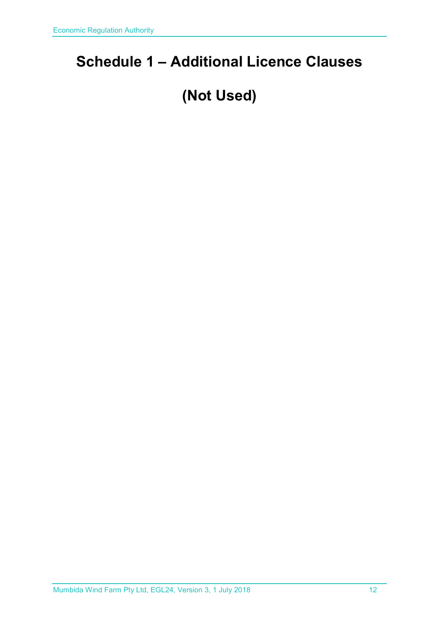# <span id="page-11-0"></span>**Schedule 1 – Additional Licence Clauses**

# **(Not Used)**

Mumbida Wind Farm Pty Ltd, EGL24, Version 3, 1 July 2018 12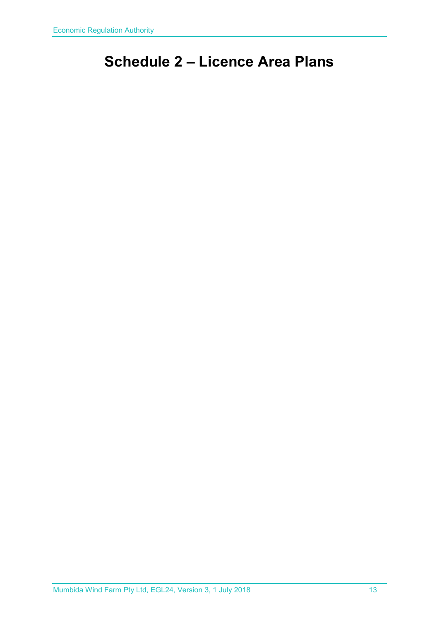# <span id="page-12-0"></span>**Schedule 2 – Licence Area Plans**